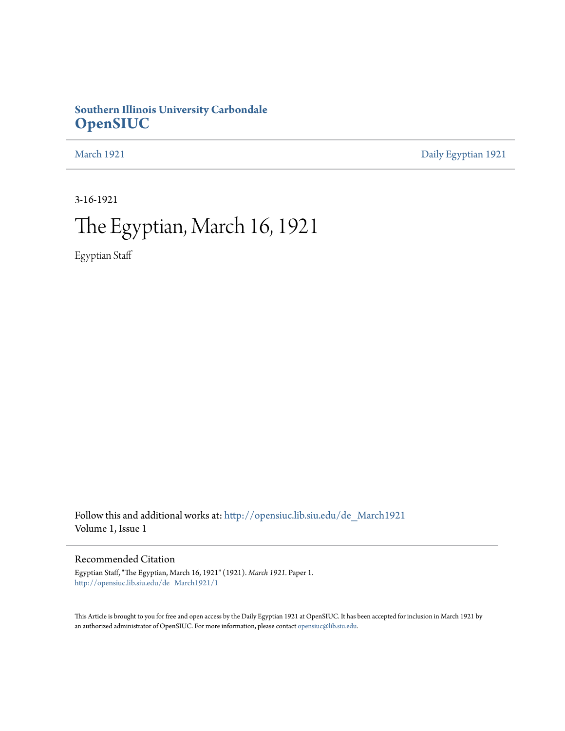### **Southern Illinois University Carbondale [OpenSIUC](http://opensiuc.lib.siu.edu?utm_source=opensiuc.lib.siu.edu%2Fde_March1921%2F1&utm_medium=PDF&utm_campaign=PDFCoverPages)**

[March 1921](http://opensiuc.lib.siu.edu/de_March1921?utm_source=opensiuc.lib.siu.edu%2Fde_March1921%2F1&utm_medium=PDF&utm_campaign=PDFCoverPages) [Daily Egyptian 1921](http://opensiuc.lib.siu.edu/de_1921?utm_source=opensiuc.lib.siu.edu%2Fde_March1921%2F1&utm_medium=PDF&utm_campaign=PDFCoverPages)

3-16-1921

### The Egyptian, March 16, 1921

Egyptian Staff

Follow this and additional works at: [http://opensiuc.lib.siu.edu/de\\_March1921](http://opensiuc.lib.siu.edu/de_March1921?utm_source=opensiuc.lib.siu.edu%2Fde_March1921%2F1&utm_medium=PDF&utm_campaign=PDFCoverPages) Volume 1, Issue 1

### Recommended Citation

Egyptian Staff, "The Egyptian, March 16, 1921" (1921). *March 1921.* Paper 1. [http://opensiuc.lib.siu.edu/de\\_March1921/1](http://opensiuc.lib.siu.edu/de_March1921/1?utm_source=opensiuc.lib.siu.edu%2Fde_March1921%2F1&utm_medium=PDF&utm_campaign=PDFCoverPages)

This Article is brought to you for free and open access by the Daily Egyptian 1921 at OpenSIUC. It has been accepted for inclusion in March 1921 by an authorized administrator of OpenSIUC. For more information, please contact [opensiuc@lib.siu.edu.](mailto:opensiuc@lib.siu.edu)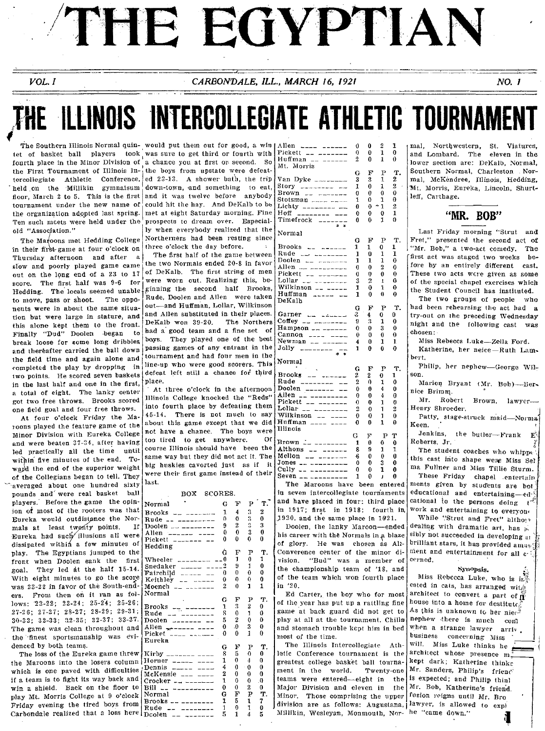# THE EGYPTIAN

CARBONDALE, ILL., MARCH 16, 1921

#### NO. 1

## THE ILLINOIS INTERCOLLEGIATE ATHLETIC TOURNAMEN

The Southern Illinois Normal quin- would put them out for good, a win tournament under the new name of Ten such meets were held under the old "Association."

 $VOL. I$ 

The Maroons met Hedding College in their first-game at four o'clock on three o'clock the day before. Thursday afternoon and after a slow and poorly played game came out on the long end of a 23 to 17 score. The first half was 9-6 for Hedding. The locals seemed unable  $\frac{1}{2}$  ginning the second half Brooks. to move, pass or shoot. The opponents were in about the same situation but were large in stature, and this alone kept them to the front. Finally "Dud" Doolen began to break loose for some long dribbles and thereafter carried the ball down the field time and again alone and completed the play by dropping in two points. He scored seven baskets in the last half and one in the first, a total of eight. The lanky center got two free throws. Brooks scored one field goal and four free throws.

At four o'clock Friday the Maroons played the feature game of the Minor Division with Eureka College and were beaten 37-34, after having led practically all the time until within five minutes of the end. Toward the end of the superior weight of the Collegians began to tell. They averaged about one hundred sixty pounds and were real basket ball players. Before the game the opinion of most of the rooters was that Eureka would outdistance the Normals at least twenty points. If Eureka had such illusions all were dissipated within a few minutes of play. The Egyptians jumped to the front when Doolen sank the first goal. They led at the half 15-14. With eight minutes to go the score was 23-22 in favor of the South-enders. From then on it ran as follows:  $23-22$ ;  $23-24$ ;  $25-24$ ;  $25-26$ ;  $27-26$ ;  $27-27$ ;  $28-27$ ;  $28-29$ ;  $29-31$ ;  $30-33$ ;  $32-33$ ;  $32-35$ ;  $32-37$ ;  $33-37$ . The game was clean throughout and the finest sportsmanship was evidenced by both teams.

The loss of the Eureka game threw the Maroons into the losers column which is one paved with difficulties if a team is to fight its way back and win a shield. Back on the floor to play Mt. Morris College at 9 o'clock Friday evening the tired boys from Carbondale realized that a loss here

tet of basket ball players took was sure to get third or fourth with fourth place in the Minor Division of a chance you at first or second. So the First Tournament of Illinois  $\ln \frac{1}{1}$ the boys from upstate were defeattercollegiate Athletic Conference, ed 23-13. A shower bath, the trip held on the Millikin gymnaisum down-town, and something to eat, floor, March 2 to 5. This is the first and it was twelve before anybody could hit the hay. And DeKalb to be the organization adopted last spring. met at eight Saturday morning. Fine prospects to dream over. Especially when everybody realized that the Northerners had been resting since

> The first half of the game between the two Normals ended 20-8 in favor of DeKalb. The first string of men were worn out. Realizing this, be-Rude. Doolen and Allen were taken out-and Huffman, Lollar, Wilkinson and Allen substituted in their places. DeKalb won 39-20. The Northers had a good team and a fine set of boys. They played one of the best passing games of any entrant in the tournament and had four men in the line-up who were good scorers. This defeat left still a chance for third blace.

> At three o'clock in the afternoon Illinois College knocked the "Reds" into fourth place by defeating them 45-14. There is not much to say about this game except that we did not have a chance. The boys were  $\alpha$ <sub>f</sub> too tired to get anywhere. course Illinois should have been the same way but they did not act it. The big huskies cavorted just as if it were their first game instead of their last.

#### $000000$

| ∡טם<br>DUUALO.                                                                               |          |                |                  |              |
|----------------------------------------------------------------------------------------------|----------|----------------|------------------|--------------|
| Normal                                                                                       | G        | Ŧ              | Þ                | т.           |
| $Brooks = -$                                                                                 | 1        | 4              | 3                | 2            |
| Rude<br>$\begin{array}{c} \hline \end{array}$                                                | n        | o              | 3                | U            |
|                                                                                              | 9        | $\overline{2}$ | 3                | 3            |
| Allen<br>$\begin{array}{ccc}\n\hline\n\end{array}$                                           | Ô        | $\theta$       | 3                | 0            |
| Pickett _______ __                                                                           | 0        | 0              | 0                | 0            |
| Hedding                                                                                      |          |                |                  |              |
|                                                                                              | Ġ        | F              | $\mathbf{P}$     | Т.           |
| -------- --0<br>Wheeler                                                                      |          | 1              | $\boldsymbol{0}$ | 1            |
| Snedaker $\frac{1}{2}$ $\frac{1}{2}$ $\frac{1}{2}$ $\frac{1}{2}$ $\frac{1}{2}$ $\frac{1}{2}$ |          | 9              | 1                | Û            |
| $\text{Fairchild}$ _____ __                                                                  | $\theta$ | $\theta$       | 0                | Ô            |
| Keithley $     -$                                                                            | 0        | 0              | 0                | 0            |
| Moench<br>$\frac{1}{2}$                                                                      | 2        | 0              | 1                | 1            |
| Normal                                                                                       |          |                |                  |              |
|                                                                                              | G        | F              | Р                | Ŧ.           |
| Brooks $-\frac{1}{2}$ $-\frac{1}{2}$                                                         | 1        | 3              | $\overline{2}$   | 0            |
| Rude                                                                                         | g        | $\mathbf 0$    | 1                | 0            |
| Doolen $\rightarrow$                                                                         | 5        | $\mathbf{2}$   | 0                | $\mathbf{0}$ |
| Allen ------- ----                                                                           | 0        | .0             | 3                | 0            |
| Picket                                                                                       | 0        | 0              | 1                | 0            |
| Eureka                                                                                       |          |                |                  |              |
|                                                                                              | G        | F              | Р                | Т.           |
| Kirby $\frac{1}{2}$ - $\frac{1}{2}$ - $\frac{1}{2}$ - $\frac{1}{2}$                          | 8        | 5              | 0                | 0            |
| Horner $22222 - 2222$                                                                        | 1        | 0              | 4                | Ō            |
| Dennis ______ ____                                                                           | 4        | $\mathbf{0}$   | 0                | 0            |
| $McKense$ ___ ___                                                                            | 2        | 0              | 0                | $\theta$     |
|                                                                                              | 1        | 0              | 0                | $\theta$     |
| Bill                                                                                         | 0        | 0              | 2                | 0            |
| Normal                                                                                       | Ġ        | F              | P                | T.           |
| $Brooks = -------$                                                                           | 1        | 5              | ı                | 7            |
| Rude<br>$- - - - - - - - -$                                                                  | 1        | 0              | 1                | 0            |
| Doolen<br>.<br>---                                                                           | 5        | 1              | 4                | Б            |

| Allen<br>$---$                              | 0  | 0    | 2            | 1            |
|---------------------------------------------|----|------|--------------|--------------|
| Pickett                                     | 0  | 0    | 1            | 0            |
| Huffman<br>$-$<br>$- - - - - -$             | 2  | 0    | 1            | 0            |
| Mt.<br>Morris                               |    |      |              |              |
|                                             | G  | F    | Ρ            | т.           |
| Van Dyke ________                           | 3  | 3    | 1            | 2            |
| Story<br>_________                          | 1  | 0    | ı            | 2            |
| Brown                                       |    | 0    | 0            | 0            |
| $-1$<br><b>Construction of the property</b> | 0  |      |              |              |
|                                             | 1  | Ω    | 1            | 0            |
| Lichty<br>$\frac{1}{2}$                     | 0  | 0    | 1            | 2            |
| Hoff<br>________                            | 0  | 0    | 0            | $\mathbf{1}$ |
| Timefrock<br>ż.<br>÷.                       | 0  | 0    | 1            | Ô            |
|                                             |    |      |              |              |
| Normal                                      |    |      |              |              |
|                                             | G  | F    | Р            | т.           |
| Brooks                                      | 1  | 1    | 0            | ı            |
| Rude<br>22 2222222                          | 1  | 0    | 1            | 1            |
| Doolen<br>-- -------                        | 1  | 1    | 1            | 0            |
| Allen                                       | 0  | 0    | 2            | 0            |
| Pickett<br>and component                    | 0  | 0    | 0            | O            |
| Lollar <sub>-- --------</sub>               | 3  | 2    | $\mathbf{r}$ | 0            |
| Wilkinson -- -----                          | 1  | 0    | ı            | 0            |
| Huffman<br>المرامات مرابط                   | 1  | 0    | 0            | 0            |
| DeKalh                                      |    |      |              |              |
|                                             |    |      |              |              |
|                                             | G  | F    | P            | Υ.           |
| Garner<br>بالمتمدين المدير                  | 3  | 4    | 0            | 0            |
| Coffey<br>as and an and an anti-            | 9  | 3    | 1            | 0            |
| Hampson __ ______                           | 0  | 0    | 3            | 0            |
| Cannon<br>---- ----                         | 0  | 0    | 0            | 0            |
| Newman<br>-- ------                         | 4  | 0    | 1            | 1            |
| Jolly                                       | 1  | 0    | 0            | 0            |
|                                             |    |      |              |              |
| Normal                                      |    |      |              |              |
|                                             | G  | F    | Р            | т.           |
| Brooks<br>$\sim$                            | 2  | 2    | 0            | 1            |
| Rude<br>-------- --                         | 2  | 0    | 1            | 0            |
| Doolen<br>$\frac{1}{1}$<br>$-$              | 0  | 0    | 4            | 0            |
| Allen<br>---------                          | 0  | 0    | 4            | 0            |
| Pickett<br>-- -------                       | 0  | 0    | 1            | 0            |
| Lollar<br>--------                          | 2  | 0    | 1            | 2            |
| Wilkinson<br>$-$                            | 0  | 0    | 1            | $\bf{0}$     |
| Huffman<br>---- ----                        | 0  | 0    | 1            | 0            |
| Illinois                                    |    |      |              |              |
|                                             | G  | F    | Р            | Ŧ            |
|                                             |    |      |              |              |
| .<br>-- ---------<br>Brown                  | 1  | 0    | 0            | 0            |
| Althons __ ______                           | 8  | 9    | 1            | 1            |
| <u>ali tanan me</u><br>Mellon               | -6 | 0    | 0            | 0            |
| Jones                                       | 0  | 0    | 3            | 0            |
| Cully<br>$-$<br>---------                   | 0  | 0    | 1            | 0            |
| Seven<br>-- ---------                       | 1  | 0    | ı            | 0            |
| The<br>Maroons<br>have                      |    | been |              | entered      |
|                                             |    |      |              |              |

in seven intercollegiate tournaments and have placed in four: third place in 1917; first in 1918; fourth in, 1920, and the same place in 1921.

Doolen, the lanky Marcon-ended his career with the Normals in a blaze of glory. He was chosen as All-Converence center of the minor division. "Bud" was a member of the championship team of '18, and of the team which won fourth place in 20.

Ed Carter, the boy who for most of the year has put up a rattling fine game at back guard did not get to play at all at the tournament. Chills and stomach trouble kept him in bed most of the time.

The Illinois Intercollegiate Athletic Conference tournament is the greatest college basket ball tournament in the world. Twenty-one teams were entered—eight in the is expected; and Philip thinl Major Division and eleven in the Mr. Bob, Katherine's friend. Minor. Those comprising the upper division are as follows: Augustana, lawyer, is allowed to expl Millikin, Wesleyan, Monmouth, Nor- he "came down."

mal. Northwestern, St. Viatures. and Lombard. The eleven in the lower section are: DeKalb, Normal, Southern Normal, Charleston Normal, McKendree, Illinois, Hedding, Mt. Morris, Eureka, Lincoln, Shurtleff. Carthage.

"MR. BOB"

Last Friday morning "Strut and Fret," presented the second act of "Mr. Bob," a two-act comedy. The ffirst act was staged two weeks before by an entirely different cast. These two acts were given as some of the special chapel exercises which the Student Council has instituted.

The two groups of people who had been rehearsing the act had a try-out on the preceding Wednesday night and the following cast was chosen ·

Miss Rebecca Luke-Zella Ford.

Katherine, her neice-Ruth Lambert.

Philip, her nephew-George Wilson.

Marion Bryant (Mr. Bob)---Bernice Brimm.

Mr. Robert Brown. lawyer-Henry Shroeder.

Patty, stage-struck maid-Normal Keen.

Jenkins, the butler-Frank  $\mathbf{E}_{\mathcal{S}}$ Roberts, Jr.

The student coaches who whippe: this cast into shape were Miss Sel. ma Fullner and Miss Tillie Sturm.

These Friday chapel entertain ments given by students are bot educational and entertaining-edcational to the persons doing t work and entertaining to everyon.

While "Strut and Fret" altho!" dealing with dramatic art, has po sibly not succeeded in developing at brilliant stars, it has provided amusment and entertainment for all c. cerned.

#### Synopsis.

Miss Rebecca Luke, who is in ested in cats, has arranged wite architect to convert a part of  $\mathbf{\hat{n}}^2$ house into a home for destitute.<br>As this is unknown to her niers nephew there is much conl when a strange lawyer arriv. business concerning Miss will. Miss Luke thinks he architect whose presence m. kept dark; Katherine thinks Mr. Sanders, Philip's friench fusion reigns until Mr. Bro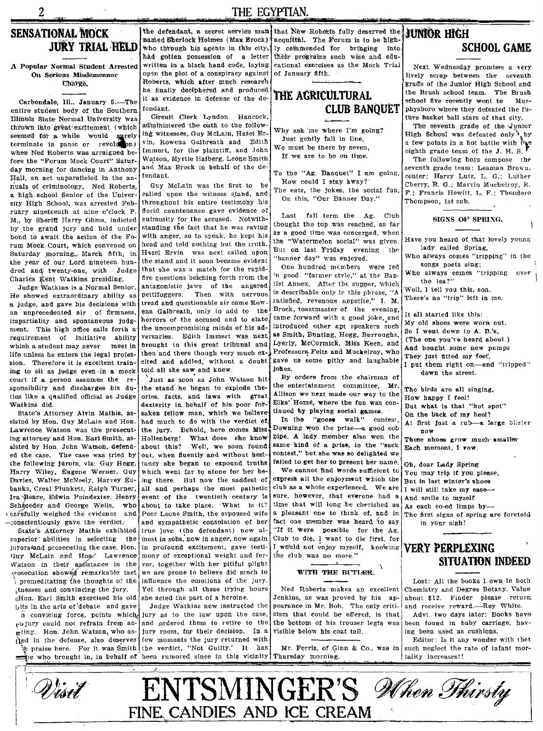$\overline{2}$ 

### THE EGYPTIAN.

### **SENSATIONAL MOCK JURY TRIAL HELD**

A Popular Normal Student Arrested On Serious Misdemeanor Charge.

Carbondale, Ill., January 5 .- The entire student body of the Southern Illinois State Normal University was thrown into great excitement (which seemed for a while would surely terminate in panic or revolution) when Ned Roberts was arraigned before the "Forum Mock Court" Saturday morning for dancing in Anthony Hall, an act unparalleled in the annuals of criminology. Ned Roberts, a high school Senior of the University High School, was arrested February nineteenth at nine o'clock P M., by Sheriff Harry Ohms, indicted by the grand jury and held under bond to await the action of the Forum Mock Court, which convened on Saturday morning. March fifth, in the year of our Lord nineteen hundred and twenty-one, with Judge Charles Kent Watkins presiding.

Judge Watkins is a Normal Senior. He showed extraordinary ability as a judge, and gave his decisions with an unprecedented air of firmness impartiality and spontaneous judgment. This high office calls forth a requirement of initiative ability which a student may never meet in life unless he enters the legal profession. Therefore it is excellent training to sit as judge even in a mock court if a person assumes the re sponsibility and discharges his duties like a qualified official as Judge Watkins did.

State's Attorney Alvin Mathis, assisted by Hon. Guy McLain and Hon. Lawrence Watson was the prosecuting attorney and Hon. Earl Smith, assisted by Hon. John Watson, defended the case. The case was tried by the following jurors, viz: Guy Hogg, Harry Wiley, Eugene Werner, Guy Davies, Walter McNeely, Harvey Eubanks, Creal Plunkett, Ralph Turner, Ira Beare, Edwin Poindexter, Henry Schroeder and George Wells, who scarefully weighed the evidence and conscientiously gave the verdict.

State's Attorney Mathis exhibited superior abilities in selecting the jurors4and prosecuting the case. Hon. Guy McLain and Hone Lawrence Watson in their assistance in the prosecution showed remarkable tact tnesses and convincing the jury.

eHon. Earl Smith exercised his old bits in the arts of debate and gave

clajury could not refrain from acmting. Hon. John Watson, who asthed in the defense, also deserves few moments the jury returned with

the defendant, a secret service mani that New Roberts fully deserved the named Sherlock Holmes (Max Brock) had gotten possession of a letter written in a black hand code, laving open the plot of a conspiracy against Roberts, which after much research he finally deciphered and produced it as evidence in defense of the defendant.

Circuit Clerk Lyndon Hancock, administered the oath to the following witnesses, Guy McLain, Hazel Ervin, Rowena Galbreath and Edith Immert, for the plaintiff, and John Watson, Myrtle Halberg, Leone Smith and Max Brock in behalf of the defendant

Guy McLain was the first to be called upon the witness stand, and throughout his entire testimony his florid countenance gave evidence of animosity for the accused. Notwithstanding the fact that he was raving with anger, so to speak, he kept his head and told nothing but the truth. Hazel Ervin was next called upon the stand and it soon became evident that she was a match for the rapidfire questions betching forth from the antagonistic jaws of the angered pettifoggers. Then with nervous tread and questionable air came Rowena Galbreath, only to add to the horrors of the accused and to elate, the uncompromising minds of his adversaries. Edith Immert was next brought to this great tribunal and then and there though very much excited and addled, without a doubt told all she saw and knew.

Just as soon as John Watson hit the stand he began to explode theories, facts, and laws with great dexterity in behalf of his poor forsaken fellow man, which we believe; had much to do with the verdict of the jury. Behold, here comes Miss Hollenberg! What does she know about this? Well we soon found out, when fluently and without hesitancy she began to expound truths which went far to atone for her being there. But now the saddest of all and perhaps the most pathetic event of the twentieth century is about to take place. What is it? Poor Leone Smith, the expoused wife and sympathetic consolation of her true love (the defendant) now almost in sobs. now in anger, now again in profound excitement, gave testimony of exceptional weight and fervor, together with her pitiful plight we are prone to believe did much to  $i$  premeditating the thoughts of the influence the emotions of the jury. Yet through all these trying hours she acted the part of a heroine.

Judge Watkins now instructed the n convicing force, points which, jury as to the law upon the case, and ordered them to retire to the jury room, for their decision. In a an praise here. For it was Smith the verdict, "Not Guilty.' It has the who brought in, in behalf of been rumored since in this vicinity Thursday morning.

acquittal. The Forum is to be highwho through his agents in this city, ly commended for bringing into. their programs such wise and educational exercises as the Mock Trial of January fifth.

### THE AGRICULTURAL **CLUB BANQUET**

Why ask me where I'm going? Just gently fall in line, We must be there by seven,

If we are to be on time.

To the "Ag. Banquet" I am going, How could I stay away?

The eats, the jokes, the social fun, On this, "Our Banner Day."

Last fall term the Ag. Club thought the top was reached, as far as a good time was concerned, when the "Watermelon social" was given. But on last Friday evening the "banner day" was enjoyed.

One hundred members were fed 'n good. "farmer style," at the Baptist Annex. After the supper, which is describable only in this phrase, "A satisfied, revenous appetite," I. M. Brock, toastmaster of the evening. came forward with a good joke, and introduced other apt speakers such as Smith, Bunting, Hogg, Burroughs, Lyerly, McCormick, Miss Keen, and Professors Felts and Muckelroy, who gave us some pithy and laughable iokes.

By orders from the chairman of the entertainment committee, Mr. Allison we next made our way to the Elks' Home, where the fun was continued by playing social games.

In the "goose walk" contest, Downing won the prize-a good cob pipe. A lady member also won the same kind of a prize, in the "sack contest," but she was so delighted we failed to get her to present her name.

We cannot find words sufficient to express all the enjoyment which the club as a whole experienced. We are sure, however, that everone had a time that will long be cherished as a pleasant one to think of, and in fact one member was heard to say "If it were possible for the Ag. Club to die, I want to die first, for I would not enjoy myself, knowing the club was no more."

#### WITH THE BUTLER.

Ned Roberts makes an excellent Jenkins, as was proved by his appearance in Mr. Bob. The only criticism that could be offered, is that the bottom of his trouser legts was visible below his coat tail.

Mr. Ferris, of Ginn & Co., was in

### **JUNIOR HIGH SCHOOL GAME**

Next Wednesday promises a very lively scrap between the seventh grade of the Junior High School and the Brush school team. The Brush school five recently went to  $M_{\rm{B}}$ rphysboro where they defeated the future basket ball stars of that city.

The seventh grade of the Junior High School was defeated only<sup>3</sup> by a few points in a hot battle with  $\mathbb{R}$ . eighth grade team of the J. H. S.

The following boys compose the seventh grade team: Leaman Brown. center; Harry Lutz, L. G.; Luther Cherry, R. G.; Marvin Muchelroy, R. F.; Francis Hewitt, L. F.; Theodore Thompson, 1st sub.

#### SIGNS OF SPRING.

Have you heard of that lovely young lady called Spring, Who always comes "tripping" in the songs poets sing:

Who always comes "tripping over the lea?"

Well, I tell you this, son,

There's no "trip" left in me.

It all started like this:

Mv old shoes were worn out.

So I went down to A. B.'s. (The one you've heard about.)

And bought some new pumps

They just fitted my feet,

I put them right on-and "tripped" down the street. The birds are all singing.

How happy I feel! But what is that "hot spot" On the back of my heel? At first just a rub-a large blister

 $now$ These shoes grow much smaller Each moment. I vow.

Oh, dear Lady Spring You may trip if you please, But in last winter's shoes I will still take my ease And smile to myself As each co-ed limps by-The first signs of spring are foretold

in your sigh!

### very perplexing SITUATION INDEED

Lost: All the books I own in both Chemistry and Degree Botany. Value about \$12. Finder please return and receive reward.-Roy White. Advt. two days later: Books have been found in baby carriage, hav ing been used as cushions.

Editor: Is it any wonder with that such neglect the rate of infant mortality increases!!

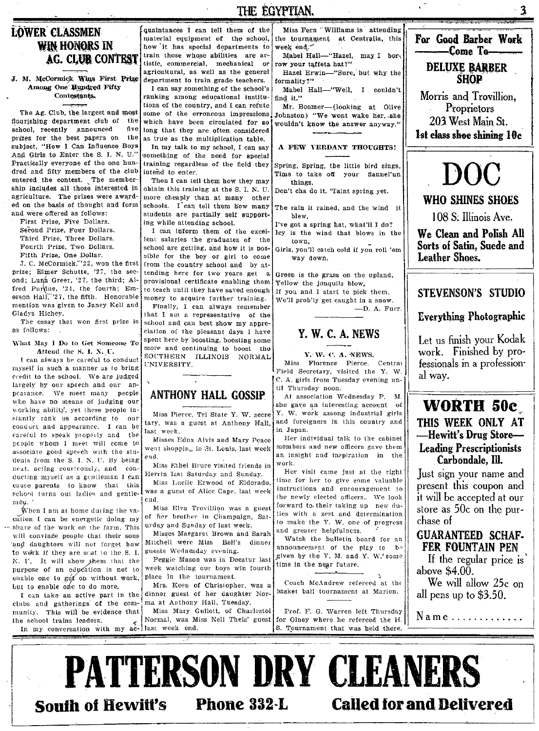### **LOWER CLASSMEN** WIN HONORS IN **AG. CLUB CONTEST**

J. M. McCormick Wins First Prize Among One Hundred Fifty Contestants.

The Ag. Club, the largest and most flourishing department club of the five school, recently announced prizes for the best papers on  $the$ subject. "How I Can Influence Boys And Girls to Enter the S. I. N. U." Practically everyone of the one hundred and fifty members of the club entered the contest. The membership includes all those interested in agriculture. The prizes were awarded on the basis of thought and form and were offered as follows:

First Prize, Five Dollars. Second Prize, Four Dollars, Third Prize, Three Dollars. Fourth Prize, Two Dollars. Fifth Prize, One Dollar.

J. C. McCormick, "22, won the first prize: Elmer Schutte, '27, the second; Luna Greer, '27, the third; Alfred Purdue, '24, the fourth; Emerson Hall, '27, the fifth. Honorable mention was given to Janey Kell and Gladys Hichey

The essay that won first prize is as follows:

What May I Do to Get Someone To Attend the S. I. N. U.

I can always be careful to conduct myself in such a manner as to bring credit to the school. We are judged largely by our speech and our appearance. We meet many people who have no means of judging our working ability', yet these people instantly rank us according to our conduct and appearance. I can be careful to speak properly and the people whom I meet will come to associate good speech with the students from the S. I. N. U. By being neat, acting courteously, and conducting myself as a gentleman I can cause parents to know that this school turns out ladies and gentle- was a guest of Alice Cape, last week men.

When I am at home during the vacation I can be energetic doing my share of the work on the farm. This will convinge people that their sons 'and daughters will not forget how to work if they are scat to the S. I. N. U. It will show them that the purpose of an education is not to enable one to get on without work, but to enable one to do more.

I can take an active part in the clubs and gatherings of the community. This will be evidence that the school trains leaders. In my conversation with my ac- last week end.

quaintances I can tell them of the material equipment of the school, how it has special departments to train those whose abilities are artistic, commercial, mechanical or agricultural, as well as the general department to train grade teachers.

I can say something of the school's ranking among educational institutions of the country, and I can refute some of the erroneous impressions! which have been circulated for so long that they are often considered as true as the multiplication table.

In my talk to my school, I can say something of the need for special training regardless of the field they intend to enter

Then I can tell them how they may obtain this training at the S. I. N. U. more cheaply than at many other schools. I can tell them how many students are partially self supporting while attending school.

I can inform them of the excellent salaries the graduates of the school are getting, and how it is possible for the boy or girl to come from the country school and by attending here for two years get a provisional certificate enabling them to teach until they have saved enough money to acquire further training. Finally, I can always remember

that I am a representative of the school and can best show my appreciation of the pleasant days I have spent here by boosting, boosting some more and continuing to boost the SOUTHERN ILLINOIS NORMAL UNIVERSITY.

### **ANTHONY HALL GOSSIP**

Miss Pierce, Tri State Y. W. secre tary, was a guest at Anthony Hall, last week.

Misses Edna Alvis and Mary Peace went shopping in St. Louis, last week end.

Miss Ethel Bruce visited friends in Herrin last Saturday and Sunday.

Miss Lucile Erwood of Eldorado, end.

Miss Elva Trovillion was a guest of her brother in Champaign, Saturday and Sunday of last week.

Misses Margaret Brown and Sarah Mitchell were Miss Bell's dinner guests Wednesday evening.

Peggie Mason was in Decatur last week watching our boys win fourth place in the tournament.

Mrs. Keen of Christopher, was a dinner guest of her daughter Norma at Anthony Hall, Tuesday.

Miss Mary Gullett, of Charlestoi Normal, was Miss Nell Theis' guest

Miss Fern 'Williams is attending the tournament at Centralia, this week end. Mabel Hall-"Hazel, may I bor-

row your taffeta hat?" Hazel Erwin-"Sure, but why the

THE EGYPTIAN.

formality?"

Mabel Hall-"Well, I couldn't find it."

Mr. Boomer-(looking at Olive Johnston) "We wont wake her. she wouldn't know the answer anyway."

#### A FEW VERDANT THOUGHTS!

Spring, Spring, the little bird sings, Time to take off your flannel'un things.

Don't cha do it. 'Taint spring yet.

The rain it rained, and the wind it hlew.

I've got a spring hat, what'll I do? ley is the wind that blows in the

town. Girls. vou'll catch cold if you roll 'em

way down.

Green is the grass on the upland, Yellow the jonquils blow. If you and I start to pick them, We'll problly get caught in a snow.  $-D.$  A. Furr.



#### Y. W. C. A. NEWS.

Miss Florence Pierce, Central Field Secretary, visited the Y. W. C. A. girls from Tuesday evening until Thursday noon.

At association Wednesday P. M. she gave an interesting account of Y. W. work among industrial girls and foreigners in this country and in Japan.

Her individual talk to the cabinet members and new officers gave them an insight and inspiration in the work.

Her visit came just at the right time for her to give some valuable instructions and encouragement to the newly elected officers. We look forward to their taking up new duties with a zest and determination to make the Y. W. one of progress and greater helpfulness.

Watch the bulletin board for an announcement of the play to be given by the Y. M. and Y. W.' some time in the near future.

Coach McAndrew refereed at the basket ball tournament at Marion.

Prof. F. G. Warren left Thursday for Olney where he refereed the H. S. Tournament that was held there.



For Good Barber Work

Come To-

**DELUXE BARBER** 

**SHOP** 

Morris and Trovillion.

 $\overline{\mathbf{3}}$ 

### WORTH 50c THIS WEEK ONLY AT -Hewitt's Drug Store-**Leading Prescriptionists** Carbondale, Ill.

Just sign your name and present this coupon and it will be accepted at our store as 50c on the purchase of

### **GUARANTEED SCHAF-**FER FOUNTAIN PEN

If the regular price is above  $$4.00$ .

We will allow 25c on all pens up to \$3.50.

Name.............

**PATTERSON DRY CLEANERS South of Hewitt's** Phone 332-L **Called for and Delivered**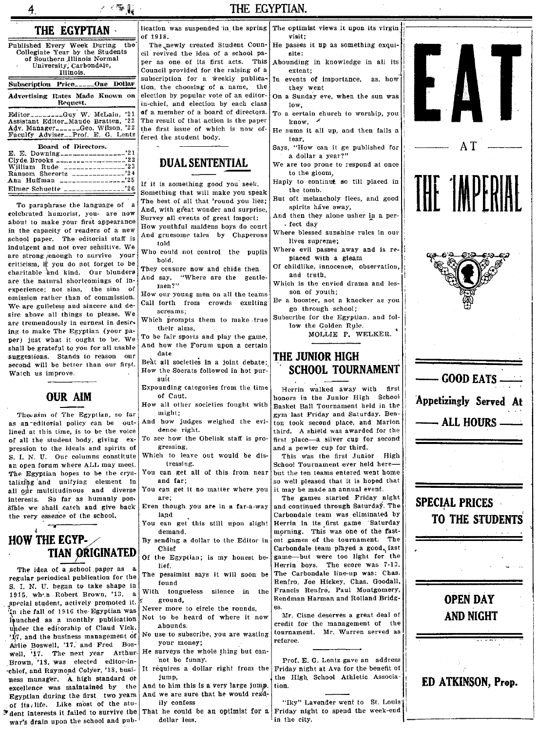| к. 1944 г.                                                                                                                                                      |                                 |  |
|-----------------------------------------------------------------------------------------------------------------------------------------------------------------|---------------------------------|--|
| THE EGYPTIAN                                                                                                                                                    | licati<br>of 19                 |  |
| the<br>Published Every Week During<br>Collegiate Year by the Students<br>of Southern Illinois Normal<br>University, Carbondale,<br>Illinois.                    | Тh<br>cil re<br>per<br>Coun     |  |
| Subscription Price_____One Dollar                                                                                                                               | subso<br>tion,                  |  |
| Advertising Rates Made Known on<br>Request.                                                                                                                     | electi<br>in-ch                 |  |
| Editor_______Guy W. McLain. '21<br>Assistant Editor_Maude Bratten, '22<br>Adv. Manager______Geo. Wilson, '22<br>Faculty Adviser <sub>--</sub> Prof. E. G. Lentz | of a<br>The 1<br>the i<br>fered |  |
| Board of Directors.<br>'21<br>E. E. Downing<br>199<br>Olmda Danalys                                                                                             |                                 |  |

To paraphrase the language of celebrated humorist, you. are now about to make your first appearance in the capacity of readers of a new school paper. The editorial staff is indulgent and not over sensitive. We are strong enough to survive your criticism, if you do not forget to be charitable and kind. Our blunders are the natural shortcomings of inexperience; not sins, the sins of omission rather than of commission. We are guileless and sincere and desire above all things to please. We are tremendously in earnest in desiring to make The Egyptian (your paper) just what it ought to be. We shall be grateful to you for all usable suggestions. Stands to reason our second will be better than our first. Watch us improve.



Theorim of The Egyptian, so far as an editorial policy can be outlined at this time, is to be the voice of all the student body, giving expression to the ideals and spirits of S. I. N. U. Our columns constitute an open forum where ALL may meet. The Egyptian hopes to be the crystalizing and unifying element in all our multitudinous and diverse interests. So far as humanly possible we shall catch and give back the very essence of the school.



سيسد

The idea of a school paper as regular periodical publication for the S. I. N. U. began to take shape in 1915, when Robert Brown, '13, a special student, actively promoted it. In the fall of 1916 the Egyptian was faunched as a monthly publication under the editorship of Claud Vick. '17, and the business management of Arlie Boswell, '17, and Fred Boswell, '17. The next year Arthur-Brown, '18, was elected editor-inchief, and Raymond Colyer, '18, business manager. A high standard of excellence was maintained by the Egyptian during the first two years of its, life. Like most of the stu-Thent interests it failed to survive the war's drain upon the school and pub-

118

e "newly created Student Counevived the idea of a school paas one of its first acts. This cil provided for the raising of a cription for a weekly publicathe choosing of a name, the ion by popular vote of an editorief and election by each class member of a board of directors. result of that action is the paper first issue of which is now ofthe student body.

### **DUAL SENTENTIAL**

If it is something good you seek, Something that will make you speak The best of all that 'round you lies: And, with great wonder and surprise, Survey all events of great import:

How youthful maidens boys do court And gruesome tales by Chaperons told

Who could not control the pupils bold.

They censure now and chide then. And say, "Where are the gentle- $\mathrm{men}\,?\mathrm{''}$ 

How our voung men on all the teams Call forth from crowds exulting seres ms.

Which prompts them to make true their aims

To be fair sports and play the game, And how the Forum upon a certain date

Beat all societies in a joint debate: How the Socrats followed in hot pursuit

Expounding categories from the time of Caut.

How all other societies fought with might;

- And how judges weighed the evidence right.
- To see how the Obelisk staff is progressing,
- Which to leave out would be distressing.
- You can get all of this from near and far:
- You can get it no matter where you are:

Even though you are in a far-a-way land

You can get this still upon slight demand.

By sending a dollar to the Editor in Chief

Of the Egyptian; is my honest belief.

The pessimist says it will soon be found

With tongueless silence in the ground.

Never more to circle the rounds. Not to be heard of where it now

abounds. No use to subscribe, you are wasting

vour money: surveys the whole thing but can-

not be funny. It requires a dollar right from the

iumn. And to him this is a very large jump.

And we are sure that he would readily confess

dollar less.

- ion was suspended in the spring The optimist views it upon its virgin  $\vert$ visit:
	- He passes it up as something exquisite: Abounding in knowledge in all its
	- extent: In events of importance. as, how

they went On a Sunday eve, when the sun was

low. To a certain church to worship, you

 $k$ now.  $\triangle$ He sums it all up, and then falls a

tear.

Says. "How can it ge published for a dollar a year?"

We are too prone to respond at once to the gloom,

- Hanly to continut so till placed in the tomb.
- But oft melancholy flees, and good spirits have sway.

And then they alone usher in a per-. fect day

Where blessed sunshine rules in our lives supreme:

Where evil passes away and is replaced with a gleam

Of childlike, innocence, observation, and truth.

Which is the envied drama and lesson of youth: Be a booster, not a knocker as you

go through school;

Subscribe for the Egyptian, and follow the Golden Rule.

MOLLIE P. WELKER.

### THE JUNIOR HIGH SCHOOL TOURNAMENT

Herrin walked away with first honors in the Junior High School Basket Ball Tournament held in the gym last Friday and Saturday. Benton took second place, and Marion third. A shield was awarded for the first place-a silver cup for second and a pewter cup for third.

This was the first Junior High School Tournament ever held herebut the ten teams entered went home so well pleased that it is hoped that it may be made an annual event.

The games started Friday night and continued through Saturday. The Carbondale team was eliminated by Herrin in its first game Saturday morning. This was one of the fastest games of the tournament. The Carbondale team played a good, fast game-but were too light for the Herrin boys. The score was 7-13. The Carbondale line-up was: Chas. Renfro, Joe Hickey, Chas. Goodall, Francis Renfro. Paul Montgomery, Rendman Harman and Rolland Bridges.

Mr. Cisne deserves a great deal of credit for the management of the tournament. Mr. Warren served as referee.

Prof. E. G. Lentz gave an address Friday night at Ava for the benefit of the High School Athletic Association.





THE EGYPTIAN.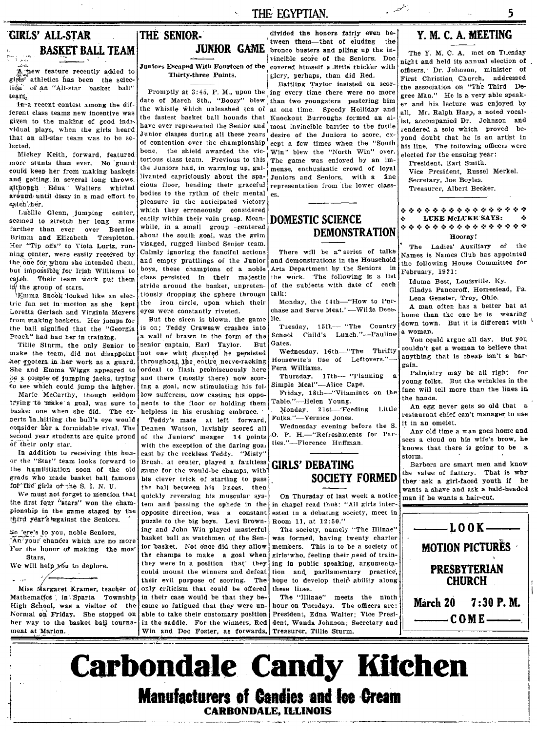### **THE- EGYPTIAN.**

### **GIRLS' ALL·STAR BASKET BALL TEAM**

A new feature recently added to girls<sup>7</sup> athletics has been the selection of an "All-star basket ball"  $\text{team}$ 

In a recent contest among the dif-<br>ferent class teams new incentive was

ey Keith, forward, featuree<br>tunts than ever - No guare Mickey Keith, forward, fea<br>more stunts than ever. No i athrough . Edna 'Walters' whirled cious floor, bending their graceful<br>around until diese in a med eftert to bodies to the rythm of their mental around until dizzy in a mad effort to catch her.

Lucille Glenn, jumping center, seemed to stretch her long arms farther than ever over Bernice Brimm and Elizabeth Templeton. Her "Tip offs" to Viola Lurtz, running center, were easily received by the one for whom she intended them, but impossible for Irish Williams to catch. Their team work put them  $\frac{in}{m}$  the group of stars.<br>Emma Snook looked like an elec-

tric fan set in' motion as she kept Loretta Gerlach and Virginia Meyers eyes were constantly riveted.<br>from making baskets. Her jumps for But the siren is blown, the game from making baskets, Her jumps for But the siren is blown, the game<br>the ball signified that the "Georgia is on: Teddy Crawsaw crashes into the ball signified that the "Georgia Peach" had had her in training.

Tillie Sturm, the only Senior to make the team, did not disappoint her poters in her work as a guard. She and Emma Wiggs appeared to be a couple of jumping jacks, trying to see which could jump the higher.

Marie McCarthy, though seldom trYing ·to 'make' a goal, was sure to basket one when she did. The experts 1n\_hitting the bull's eye would consider her a formidable rival. The second year students are quite proud of their only star.

In addition to receiving this honor the "Star" team looks forward to the humilitiation soon of the old<br>grads who made basket ball famous grads who made basket ball famous his clever trick of starting to pass<br>for the girls of the S. I. N. U.

the first four "stars" won the championship in the game staged by the third year's against the Seniors.

Mathematics : in Sparta Township in their case would be that they be- The "Illinae" meets the ninth High School, was a visitor of the came so fatigued that they were un- hour on Tuesdays. The officers are: Normal on Friday. She stopped on able to take their customary position President, Edna Walter; Vice Presiher way to the basket ball tourna- in the saddle. For the winners, Red dent, Wanda Johnson; Secretary and ment at Marion.

### **THE' SENIOR.' JUNIOR**

From class teams new incentive was, the measured the fastest basket ball hounds that Knockout Burroughs formed an al-<br>given to the making of good ind<sub>i</sub> have ever represented the Senior and most invincible barrier to the f and getting in several long throws, livanted capriciously about the spa-<br>althonen. Edna: Walters, whirled clous floor, bending their graceful, representation from the lower class pleasure in the anticipated victory which they erroneously considered easily within their vain grasp. Meanwhile, in a small group -centered about the south goal, was the grim visaged, rugged limbed Senior team. Calmly ignoring the fanciful actions and empty prattlings of the Junior boys, these champions of a noble class persisted in their majestic stride around the basket, unpretentiously dropping the sphere througn the iron circle, upon which their

> a wall of brawn in the form of the senior captain, Earl Taylor. 'not one whit daunted' he persisted throughout, the entire nerve-racking ordeal to flash promiscuously here and there (mostly there) now scoring a goal, now stimulating his fellow suffere~s, now casting his oppo- Friday, 18th-"Vitamines nents to the floor or holding them Table."-Helen Young.<br>helpless in his crushing embrace. Monday, 21st-'Feeding. helpless in his crushing embrace.

Teddy's mate at left forward. Dennen Watson, lavishly scored all of the Juniors' meager 14 points with the exception *ot* the daring goa, cast by the reckless Teddy. "Misty" Brush, at center, played a faultless game for the would-be champs, with the ball between his knees, then wants a shave and ask a bald-headed we must not forget to mention that during the ball between his knees, then  $\sim$  we must notice  $\sim$  wants a shave and ask a bald-headed We must not forget to mention that quickly revers quickly reversing his muscular sys- On Thursday of last week a notice tem and passing the sphere in the in chapel read thus: "All girls intertem and passing the sphere in the opposite direction, was a constant ested in a debating society, meet in puzzle to the big boys. Levi Brown-, Room 11, at  $12:50."$ puzzle to the big boys. Levi Brown-<br>ing and John Win played masterful So 'ere's to you, noble Seniors,<br>
An'your chances which are no more basket bull as watchmen of the Senior window members. This is to be a society<br>
For the homor of making the most include the senior basket. Not once did th Stars, the champs to make a goal when girls' who, feeling their need of train-<br>will help which deplore they were in a position that they ing in public speaking, argumentathey were in a position that they ing in public speaking, argumentation of the could mount the winners and defeat them and parliamentary practice, their evil purpose of scoring. The hope to develop their ability along Marg We will help you to deplore. They were in a position that they ing in public speaking, argumentary practice, their evil purpose of scoring. The hope to develop their ability along Miss Margaret Kramer, teacher of only criticism that could be offered these lines. Win and Doc Foster, as forwards,

divided the honors fairly even be-<br>tween them-that of eluding the GAME <sup>'</sup>tween them-that of eluding the in-<br>
| hronco busters and piling up the in-<br>
| vincible score of the Seniors: Doc Juniors Escaped With Fourteen of the covered himself a little thicker with Thirty-three Points. Elcry, perhaps, than did Red.

Battling Taylor insisted on scor-Promptly at 3:45, P. M., upon the ing every time there were no more date of March 8th., "Boozy" blew than two youngsters pestering him the whistle which unleashed ten of at one time. Speedy Holliday and given to the making of good indi-<br>vidual plays, when the girls heard have ever represented the Senior and most invincible barrier to the futile vidual plays, when the girls heard Junior classes during all these years desire of the Juniors to score, ex-<br>that an all-star team was to be se-<br> $\int$ that an an-stall team was to be se- of contention over the championship eept a few times when the "South bone. the shield awarded the vic- $\frac{1}{1}$ Win" blew the "North Win" over.<br>torious class team. Previous to this The game was enjoyed by an imattling Taylor insisted on scor-<br>
the  $i$  the  $i$  than two youngsters pestering him<br>  $i$  between than two youngsters pestering him<br>  $i$  ten of a to ne time. Speedy Holliday and  $i$  all<br>
is that Knockout Burroughs formed a The game was enjoyed by an im-<br>mense, enthusiastic crowd of loyal could keep her from making baskets the Juniors had, in warming up, gal- $\frac{1}{2}$  mense, enthusiastic crowd of loyal and setting in several long throws.

### **DOMESTIC SCIENCE DEMONSTRATION**

There will be a" series of talksand demonstrations in the Household Arts Department by the Seniors in the work. 'The following is a list of the subjects with date of each talk:

Monday, the 14th-"How to Pur-

Tuesday, 15th-- "The Country the School Child's Lunch."-Pauline. Gates.

Wednesday, 16th-"The Thrifty Housewife's tIse of Leftovers."- Fern Williams.

Thursday, 17th- "Planning Simple Meal"-Alice Cape.

Folks."-Vernice Jones.

Wednesday evening before the S. 0. P. H.-"Refreshments for Par**ties."-Florenee Huffman.** 

### **GIRLS' DEBATING SOCIETY FORMED**

The society, namely "The Illinae"

### **Y. M. C. A. MEETING**

ويتقييم

5

The Y. M, C. A. met on TLesday night and held its annual election of officers.· Dr. Johnson, minister of First Christian Church, addressed the association on "The Third Degree Man." He is a very able speaker and his lecture was enjoyed by all. Mr. Ralph Harp, a noted vocal-'ist, accompanied Dr. Johnson and rendered a solo which proved beyond doubt that he is an artist in his line. The following officers were elected for the ensuing year:

President, Earl Smith. Vice President, Russel MerkeL Secretary, Joe Boyles. Treasurer, Albert Becker.

#### **.:. .:. .:. .:. .:. .: .. :. .:. .:. .:. .: ... :- .:. ,:. .:. .,**  $\ddot{\diamond}$  . LUKE McLUKE SAYS:  $\qquad \, \dot{\diamond}$  . Hooray!

The Ladies' Auxiliary of the Names is Names Club has appointed the following House Committee for February, 1921:

Iduma Best, Louisville. Ky. Gladys Panceroff, Homestead, Pa. Lena Genster, Troy, Ohio.

chase and Serve Meat."—Wilda Dees. A man often has a better hat at home than the one he is wearing lie.<br>Tuesday 15th, "The Country down town. But it is different with a woman.

You could argue all day. But you couldn't get a woman to believe that anything that is cheap isn't a bargain.

a. Palmistry may be all right for young folks. But the wrinkles in the face will tell more than the lines in. the hands.

Little  $\vert$  An egg never gets so old that a restaurant chief can't manager to use *it* in an omelet.

Any old time a man goes home and sees a cloud on his wife's brow, he knows that there is going to be a storm.

Barbers are smart men and know the value of flattery. That is why they' ask a girl-faced youth if he



Carbondale Candy **Kitcben Manufacturers of Candies and loe Cream CARBONDALE, lLLlNOIS**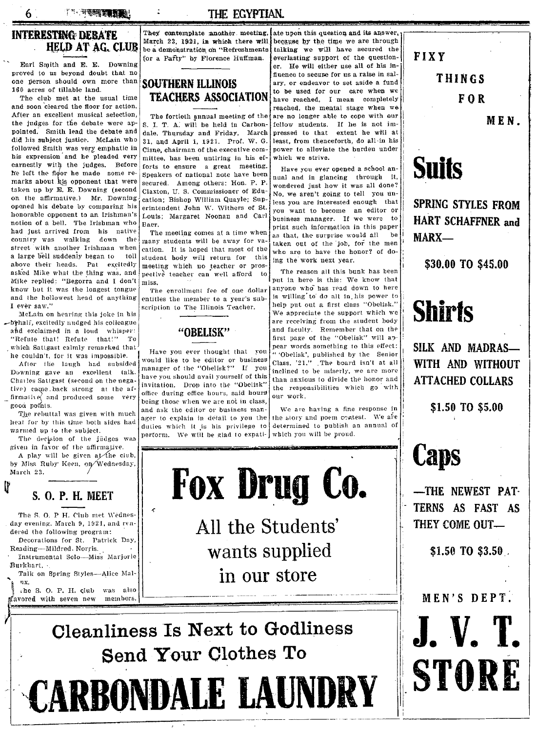**TA TEER TEER!** 

### **THE ECYPTIAN.**

### **INTERESTING DEBATE leud at AG. CLUB**

6

Earl Smith and E. E. Downing proved to us beyond doubt that no one person should own more than 160 acres of tillable land.

The club met at the usual time **ILACHERS ASSOCIATION** have reached, I mean completely and soon cleared the floor for action. and soon cleared the floor for action.<br>After an excellent musical selection. The fortieth annual meeting of the are no longer able to cope with our After an excellent musical selection, The fortieth annual meeting of the are no longer able to cope with our the judges for the debate were ap-  $\vert$  s. I. T. A. will be held in Carbon- fellow students. If he is not imthe judges for the debate were ap-  $|S, I, T, A|$  will be held in Carbon- fellow students. If he is not im-<br>pointed. Smith lead the debate and dale, Thursday and Friday. March pressed to that extent he will at pointed. Smith lead the debate and dale, Thursday and Friday. March did his subject justice. McLain who  $\frac{1}{21}$  and April 1, 1921. Prof. W. G. did his subject justice. McLain who  $31$ , and April 1, 1921. Prof. W. G. least, from thenceforth, do all in his followed Smith was very emphatic in  $\big|$  Cisne, chairman of the executive comfollowed Smith was very emphatic in  $\left|$  Cisne, chairman of the executive com- $\right|$  power to alleviate the burden under his expression and he pleaded very mitted has been untiring in his ef- which we strive. earnestly with the judges. Before forts to ensure a great meeting. Have you ever opened a school an-<br>he left the floor he made some re-<br>Speakers of national note have been water and in glassing through it 11'e left the noot he made some re- Speakers of national note have been nual and in glancing through it.<br>Marks about his opponent that were secured. Among others: Hon. P. P. wondered just here it was all done? taken up by E. E. Downing (second Claxton, U. S. Commissioner of Edu- wondered just how it was all done? Canceled affirmative.) Mr. Downing (second Claston, U.S. Commissioner of Edu-<br>on the affirmative.) Mr. Downing cation; Bishop William Quayle; Sup-11000 you are interested onough that on the amrinative.) Mr. Downing cation; Bishop William Quayle; Sup-less you are interested enough that opened his debate by comparing his erintendent John W. Withers of St. vou want to become an editor or opened his debate by comparing his erintendent John W. Withers of St. you want to become an editor or honorable opponent to an Irishman's Louis; Margaret Noonan and Carl business manager. If we were to notion of a bell. T street with another Irishman when use imany students will be away for va-1 taken out of the job, for the men<br>street with another Irishman when catton. It is hoped that most of the who are to have the honor? of do-<br>a large a large ben summing began to their student hody will return for this ing the work next year.<br>above their heads. Pat excitedly meeting which no teacher or prosasked Mike what the thing was, and pective teacher can well afford to The reason all this bunk has been<br>Mike replied: "Begorra and I don't migs Mike replied: "Begorra and I don't miss.<br>
know but it was the longest tongue in The envaluent for  $\epsilon$  are dollar during who has read down to here asked Mike what the thing was, and pective teacher can well afford to with the reason all this bunk has been<br>Mike replied: "Begorra and I don't miss.<br>
know but it was the longest tongue The enrollment fee of one dollar any ever saw."  $\frac{1}{\text{Nclain on hearing this}}$  scription to The Illinois Teacher.

behalf, excitedly nudged his colleague  $\{abc\}$  are receiving from the student body and exclaimed in a loud whisper:  $\{abc\}$ ahd exclaimed in a loud whisper: **"OBELISK"** "Refute that! Refute that!" To which Satigast calmly remarked that  $\frac{1}{1}$ . Have you ever thought that you

**Downing gave an** excellent talk.  $\text{I}^{\text{1}}$  manager of the "Obelisk?" If **you** inclined to be miserly, we are more  $\text{C}^{\text{1}}$  and  $\text{C}^{\text{2}}$  and  $\text{C}^{\text{3}}$  and  $\text{D}^{\text{4}}$  and  $\text{D}^{\text{5}}$  and  $\text{D}^{\text{6}}$ Chatles Satigast (second on the nega- have you should avail yourself of this than anxious to divide the honor and<br>time cause hash at any and the set invitation. Drop into the "Obelisk" the responsibilities which go with tive) came back strong at the  $af$ - invitation. Drop into the "Obelisk" the responsibilities which go with firmalive and produced some very office during office hours, said hours our work.

heat for by this time both sides had ager to explain in detail to you the the the slow the the slow and power test. The slow and power and power and power test. If  $\frac{d}{dt}$  is the slow after. near for by this time both sides had<br>warmed up to the subject.

*given in favor of the affirmative.* 

A play will be given at the club, by Miss Ruby Keen, on Wednesday, March 23.

**s. O. P. H. MEET** 

The S. O. P H. Club met Wednesday evening. March 9, 1921, and rendered the following program: Decorations for St. Patrick Day,

Instrumental Solo-Miss Marjorie

Talk on Spring Styles-Alice Mali ux.<br>ihe S. O. P. H. club was also<br>gavored with seven new members.

Reading-Mildred. Norris.

Bur)'hart.

ľľ

They contemplate another. meeting, ate upon this question and its answer.<br>March 23, 1921, in which there will because by the time we are through March 23, 1921, in which there will because by the time we are through be a demonstration on "Refreshments talking we will have secured the be a demonstration on "Refreshments talking we will have secured the correct the question-<br>for a Pafty'' by Florence Huffman. everlasting support of the question-

### **SOUTHERN ILLINOIS TEACHERS ASSOCIATION**

mittee, has been untiring in his ef- which we strive. secured. Among others: Hon. P. P.<br>Claxton, U. S. Commissioner of Edu-

student body will return for this

and the hollowest head of anything entitles the member to a year's sub- is willing to do all in. his power to I rever saw."

**if indirive** and produced some very being those when we are not in class.  $\begin{bmatrix} 0 & 0 & 0 & 0 \\ 0 & 0 & 0 & 0 \\ 0 & 0 & 0 & 0 \\ 0 & 0 & 0 & 0 \end{bmatrix}$  **We are having a fine response in** ou points.<br>The rebuttal was given with much and ask the editor or business man-<br>age to explain in detail to you the line story and poem coatest. We are armed up to the subject.<br>The decision of the judges was perform. We will be glad to expati- which you will be proud.

 $f$  everlasting support of the questioner. He will either use all of his in-' fiuence to secune for us a raise in salary, or endeavor to set aside a fund to be used for our care when we

Example to an Irishman's  $\begin{bmatrix} \text{L}{1} \\ \text{L}{2} \\ \text{R}{3} \\ \text{R}{4} \\ \text{R}{5} \\ \text{R}{6} \\ \text{R}{7} \\ \text{R}{8} \\ \text{R}{9} \\ \text{R}{9} \\ \text{R}{1} \\ \text{R}{2} \\ \text{R}{3} \\ \text{R}{4} \\ \text{R}{4} \\ \text{R}{5} \\ \text{R}{6} \\ \text{R}{6} \\ \text{R}{7} \\ \text{R}{7} \\ \text{R}{8} \\ \text{R}{9} \\ \text{R}{9} \\ \text{R}{$ 

We appreciate the support which we are receiving from the student body first page of the "Obelisk" will appear words something to this effect: he couldn't, for it was impossible. I Have you ever thought that you "Obelisk', published by the Senior<br>After the laugh had subsided monetary of the dollating of the senior Class, '21," The board isn't at all would like to be editor or business  $\begin{bmatrix} \text{Class, '21.''} \\ \text{Linear} \end{bmatrix}$ . The board isn't at all

**Fox Drug Co.** 

**--;vets** 

**All the Students' wants supplied in our store** 

**Cleanliness Is Next to Godliness**  $\blacksquare$ **,**  $\blacksquare$ Send Your Clothes To **STORE** 

**CARBONDALE LAUNDRY : STUKE** -------~----:--------.--- ----.\_- .- .. ----\_.\_- ----------~

**FIXY** 

**THINGS** 

**FOR** 

**MEN.** 



**SPRlNG STYLES FROM HART SCHAFFNER and MARX-**

**\$30.00 TO \$45.00** 

## **Shirts**

**SILK AND MADRAS-WITH AND WITHOUT ATTACHED COLLARS** 

**\$1.50 TO \$5.00** 

## **Caps**

,-

t **-THE NEWEST PAT-TERNS AS FAST AS**  THEY COME OUT-

**'\$1.50 TO \$3.50** 

)~avor(!d **MEN'S DE** PT. with seven new members. ..~- -- ----. - -------.... -- ---I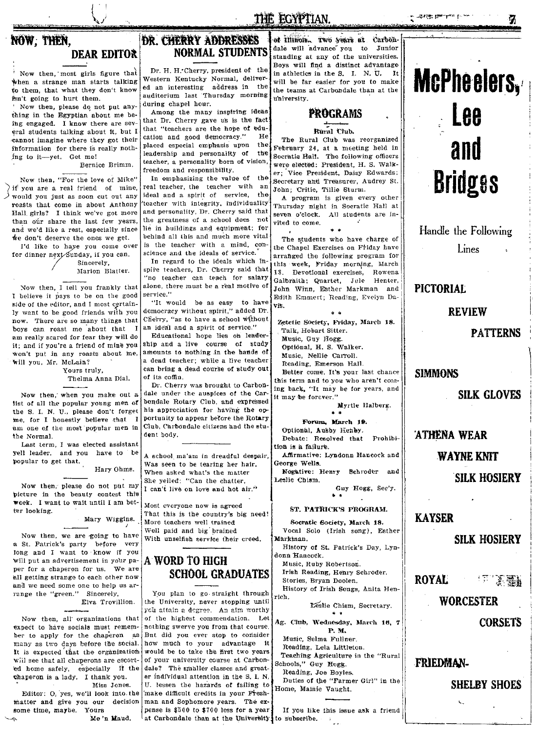### THE EGYPTIAN.

### **DEAR EDITOR**

Now then, most girls figure that when a strange man starts talking to them, that what they don't know fsn't going to hurt them.

Now then, please do not put anything in the Egyptian about me being engaged. I know there are several students talking about it, but I cannot imagine where they got their information for there is really nothing to it-yet. Get me! Bernice Brimm.

Now then, "For the love of Mike" if you are a real friend of mine, would you just as soon cut out any roasts that come in about Anthony Hall girls? I think we've got more than our share the last few years, and we'd like a rest, especially since we don't deserve the ones we get.

I'd like to haye you come over for dinner next Sunday, if you can. Sincerely,

Marion Blatter.

Now then, I tell you frankly that I believe it pays to be on the good side of the editor, and I most certainly want to be good friends with you now. There are so many things that boys can roast me about that I am really scared for fear they will do it; and if you're a friend of mine you won't put in any roasts about me, will you, Mr. McLain?

Yours truly, Thelma Anna Dial.

Now then, when you make out a list of all the popular young men of the S. I. N. U., please don't forget me, for I honestly believe that I am one of the most popular men in the Normal.

Last term, I was elected assistant yell leader, and you have to be popular to get that. Hary Ohms.

Now then, please do not put my picture in the beauty contest this week. I want to wait until I am better looking.

Mary Wiggins.

Now then, we are going to have a St. Patrick's party before very long and I want to know if you Will put an advertisement in your paper for a chaperon for us. We are all getting strange to each other now and we need some one to beln us arrange the "green." Sincerely, Elva Trovillion.

Now then, all organizations that expect to have socials must remember to apply for the chaperon as many as two days before the social. It is expected that the organization will see that all chaperons are escorted home safely, especially if the chaperon is a lady. I thank you. Miss Jones.

Editor: O, yes, we'll look into the matter and give you our decision some time, maybe. Yours Me'n Maud.

### **DR. CHERRY ADDRESSES NORMAL STUDENTS**

Dr. H. H. Cherry, president of the Western Kentucky Normal, delivered an interesting address in the auditorium last Thursday morning during chapel hour.

Among the many inspiring ideas that Dr. Cherry gave us is the fact that "teachers are the hope of education and good democracy." He placed especial emphasis upon the leadership and personality of the teacher, a personality born of vision, freedom and responsibility.

In emphasizing the value of the real teacher, the teacher with an ideal and a spirit of service, the teacher with integrity, individuality and personality, Dr. Cherry said that the greatness of a school does not lie in buildings and equipment; for behind all this and much more vital is the teacher with a mind, conscience and the ideals of service.

In regard to the ideals which inspire teachers, Dr. Cherry said that "no teacher can teach for salary alone, there must be a real motive of service."

"It would be as easy to have democracy without spirit," added Dr. Cherry, "as to have a school without an ideal and a spirit of service."

Educational hope lies on leader ship and a live course of study amounts to nothing in the hands of a dead teacher; while a live teacher can bring a dead course of study out of its coffin.

Dr. Cherry was brought to Carbondale under the auspices of the Carbondale Rotary Club, and expressed his appreciation for having the opportunity to appear before the Rotary Club, Carbondale citizens and the student body.

A school ma'am in dreadful despair, Was seen to be tearing her hair, When asked what's the matter She yelled: "Can the chatter. I can't live on love and hot air."

Most everyone now is agreed That this is the country's big need! More teachers well trained Well paid and big brained With unselfish service their creed.

### A WORD TO HIGH **SCHOOL GRADUATES**

You plan to go straight through the University, never stopping until you attain a degree. An aim worthy of the highest commendation. Let nothing swerve you from that course But did you ever stop to consider how much to your advantage it would be to take the first two vears of your university course at Carbondale? The smaller classes and greater individual attention in the S. I. N. U. lessen the hazards of failing to make difficult credits in your Freshman and Sophomore years. The expense is \$500 to \$700 less for a year at Carbondale than at the University to subscribe.

of Illinon. Two years at Carbondale will advance you to Junior standing at any of the universities. Boys will find a distinct advantage in athletics in the S. I. N. U. It will be far easier for you to make the teams at Carbondale than at the university.

### **PROGRAMS**

Rural Club.

The Rural Club was reorganized February 24, at a meeting held in Socratic Hall. The following officers were elected: President, H. S. Walker; Vice President, Daisy Edwards; Secretary and Treasurer, Audrey St. John; Critic, Tillie Sturm.

A program is given every other Thursday night in Socratic Hall at seven o'clock. All students are invited to come

The students who have charge of the Chapel Exercises on Friday have arranged the following program for this week, Friday morning, March 18. Devotional exercises, Rowena Galbraith; Quartet, Jule Henter, John Winn, Esther Markman and Edith Emmert; Reading, Evelyn Davis.  $\pm$   $\pm$ 

Zetetic Society, Friday, March 18. Talk. Hobart Sitter. Music, Guy Hogg. Optional, H. S. Walker.

Music, Nellie Carroll.

Reading, Emerson Hall.

Better come. It's your last chance this term and to you who aren't coming back, "It may be for years, and it may be forever."

Myrtle Halberg.

Forum, March 19. Optional, Ausby Henby. Debate: Resolved that Prohibition is a failure. Affirmative: Lyndonn Hancock and George Wells. Negative: Henry Schroder and Leslie Chism. Guy Hogg, Sec'y. ST. PATRICK'S PROGRAM. Socratic Society, March 18. Vocal Solo (Irish song), Esther Markman. History of St. Patrick's Day, Lyndonn Hancock. Music, Ruby Robertson. Irish Reading, Henry Schroder. Stories, Bryan Doolen. History of Irish Songs, Anita Henrich. Leslie Chism, Secretary. Ag. Club, Wednesday, March 16, 7 P. M. Music, Selma Fullner Reading, Lela Littleton. Teaching Agriculture in the "Rural Schools," Guy Hogg. Reading, Joe Boyles.

Duties of the "Farmer Girl" in the Home, Mamie Vaught.

If you like this issue ask a friend



Handle the Following Lines

**PICTORIAL** 

**REVIEW** 

**PATTERNS** 

**SIMMONS** 

**SILK GLOVES** 

**ATHENA WEAR WAYNE KNIT** 

**SILK HOSIERY** 

### **KAYSER**

#### **SILK HOSIERY**

**ROYAL** 117 3 21

**WORCESTER** 

**CORSETS** 

### FRIEDMAN-

**SHELBY SHOES**